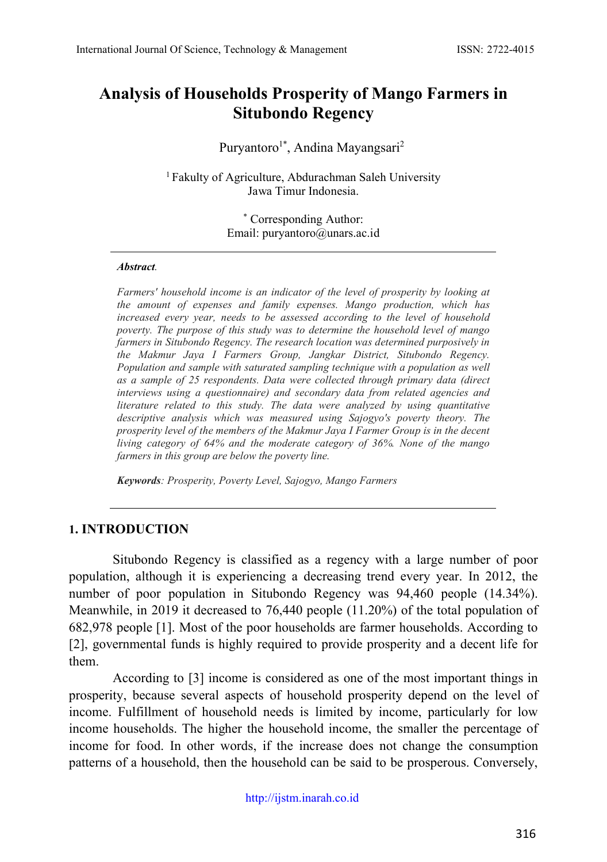# **Analysis of Households Prosperity of Mango Farmers in Situbondo Regency**

#### Puryantoro<sup>1\*</sup>, Andina Mayangsari<sup>2</sup>

<sup>1</sup> Fakulty of Agriculture, Abdurachman Saleh University Jawa Timur Indonesia.

> \* Corresponding Author: Email: [puryantoro@unars.ac.id](mailto:puryantoro@unars.ac.id)

#### *Abstract.*

*Farmers' household income is an indicator of the level of prosperity by looking at the amount of expenses and family expenses. Mango production, which has increased every year, needs to be assessed according to the level of household poverty. The purpose of this study was to determine the household level of mango farmers in Situbondo Regency. The research location was determined purposively in the Makmur Jaya I Farmers Group, Jangkar District, Situbondo Regency. Population and sample with saturated sampling technique with a population as well as a sample of 25 respondents. Data were collected through primary data (direct interviews using a questionnaire) and secondary data from related agencies and literature related to this study. The data were analyzed by using quantitative descriptive analysis which was measured using Sajogyo's poverty theory. The prosperity level of the members of the Makmur Jaya I Farmer Group is in the decent living category of 64% and the moderate category of 36%. None of the mango farmers in this group are below the poverty line.*

*Keywords: Prosperity, Poverty Level, Sajogyo, Mango Farmers*

#### **1. INTRODUCTION**

Situbondo Regency is classified as a regency with a large number of poor population, although it is experiencing a decreasing trend every year. In 2012, the number of poor population in Situbondo Regency was 94,460 people (14.34%). Meanwhile, in 2019 it decreased to 76,440 people (11.20%) of the total population of 682,978 people [1]. Most of the poor households are farmer households. According to [2], governmental funds is highly required to provide prosperity and a decent life for them.

According to [3] income is considered as one of the most important things in prosperity, because several aspects of household prosperity depend on the level of income. Fulfillment of household needs is limited by income, particularly for low income households. The higher the household income, the smaller the percentage of income for food. In other words, if the increase does not change the consumption patterns of a household, then the household can be said to be prosperous. Conversely,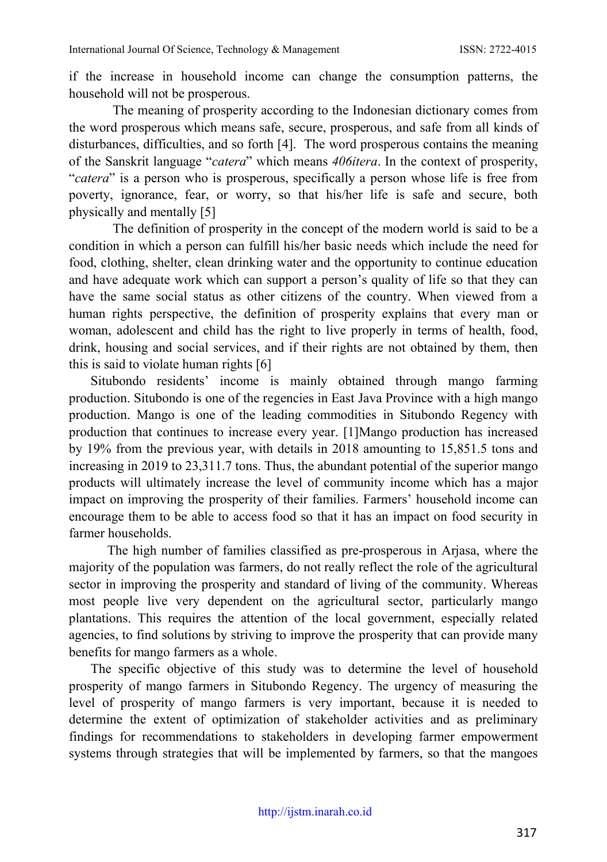if the increase in household income can change the consumption patterns, the household will not be prosperous.

The meaning of prosperity according to the Indonesian dictionary comes from the word prosperous which means safe, secure, prosperous, and safe from all kinds of disturbances, difficulties, and so forth [4]. The word prosperous contains the meaning of the Sanskrit language "*catera*" which means *406itera*. In the context of prosperity, "*catera*" is a person who is prosperous, specifically a person whose life is free from poverty, ignorance, fear, or worry, so that his/her life is safe and secure, both physically and mentally [5]

The definition of prosperity in the concept of the modern world is said to be a condition in which a person can fulfill his/her basic needs which include the need for food, clothing, shelter, clean drinking water and the opportunity to continue education and have adequate work which can support a person's quality of life so that they can have the same social status as other citizens of the country. When viewed from a human rights perspective, the definition of prosperity explains that every man or woman, adolescent and child has the right to live properly in terms of health, food, drink, housing and social services, and if their rights are not obtained by them, then this is said to violate human rights [6]

Situbondo residents' income is mainly obtained through mango farming production. Situbondo is one of the regencies in East Java Province with a high mango production. Mango is one of the leading commodities in Situbondo Regency with production that continues to increase every year. [1]Mango production has increased by 19% from the previous year, with details in 2018 amounting to 15,851.5 tons and increasing in 2019 to 23,311.7 tons. Thus, the abundant potential of the superior mango products will ultimately increase the level of community income which has a major impact on improving the prosperity of their families. Farmers' household income can encourage them to be able to access food so that it has an impact on food security in farmer households.

The high number of families classified as pre-prosperous in Arjasa, where the majority of the population was farmers, do not really reflect the role of the agricultural sector in improving the prosperity and standard of living of the community. Whereas most people live very dependent on the agricultural sector, particularly mango plantations. This requires the attention of the local government, especially related agencies, to find solutions by striving to improve the prosperity that can provide many benefits for mango farmers as a whole.

The specific objective of this study was to determine the level of household prosperity of mango farmers in Situbondo Regency. The urgency of measuring the level of prosperity of mango farmers is very important, because it is needed to determine the extent of optimization of stakeholder activities and as preliminary findings for recommendations to stakeholders in developing farmer empowerment systems through strategies that will be implemented by farmers, so that the mangoes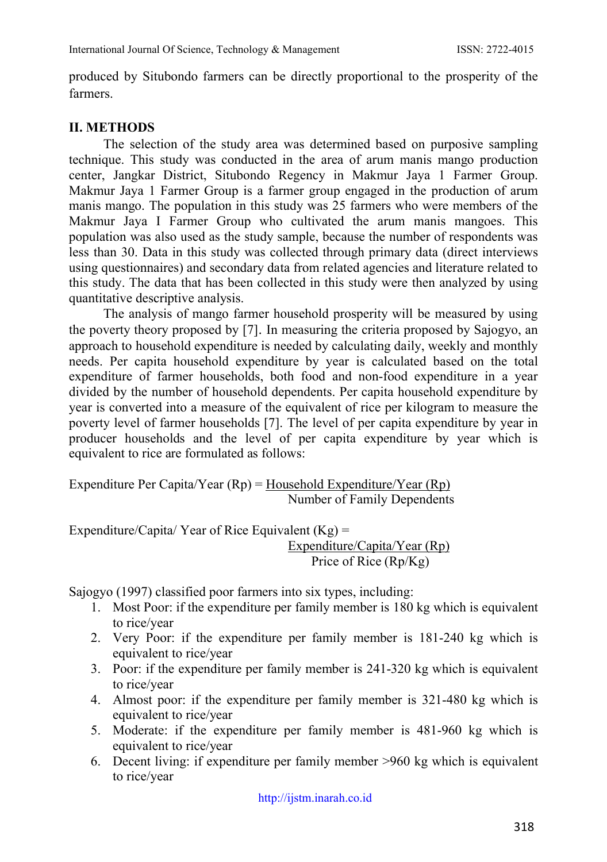produced by Situbondo farmers can be directly proportional to the prosperity of the farmers.

#### **II. METHODS**

The selection of the study area was determined based on purposive sampling technique. This study was conducted in the area of arum manis mango production center, Jangkar District, Situbondo Regency in Makmur Jaya 1 Farmer Group. Makmur Jaya 1 Farmer Group is a farmer group engaged in the production of arum manis mango. The population in this study was 25 farmers who were members of the Makmur Jaya I Farmer Group who cultivated the arum manis mangoes. This population was also used as the study sample, because the number of respondents was less than 30. Data in this study was collected through primary data (direct interviews using questionnaires) and secondary data from related agencies and literature related to this study. The data that has been collected in this study were then analyzed by using quantitative descriptive analysis.

The analysis of mango farmer household prosperity will be measured by using the poverty theory proposed by [7]. In measuring the criteria proposed by Sajogyo, an approach to household expenditure is needed by calculating daily, weekly and monthly needs. Per capita household expenditure by year is calculated based on the total expenditure of farmer households, both food and non-food expenditure in a year divided by the number of household dependents. Per capita household expenditure by year is converted into a measure of the equivalent of rice per kilogram to measure the poverty level of farmer households [7]. The level of per capita expenditure by year in producer households and the level of per capita expenditure by year which is equivalent to rice are formulated as follows:

Expenditure Per Capita/Year  $(Rp) =$  Household Expenditure/Year  $(Rp)$ Number of Family Dependents

Expenditure/Capita/ Year of Rice Equivalent  $(Kg)$  = Expenditure/Capita/Year (Rp) Price of Rice (Rp/Kg)

Sajogyo (1997) classified poor farmers into six types, including:

- 1. Most Poor: if the expenditure per family member is 180 kg which is equivalent to rice/year
- 2. Very Poor: if the expenditure per family member is 181-240 kg which is equivalent to rice/year
- 3. Poor: if the expenditure per family member is 241-320 kg which is equivalent to rice/year
- 4. Almost poor: if the expenditure per family member is 321-480 kg which is equivalent to rice/year
- 5. Moderate: if the expenditure per family member is 481-960 kg which is equivalent to rice/year
- 6. Decent living: if expenditure per family member >960 kg which is equivalent to rice/year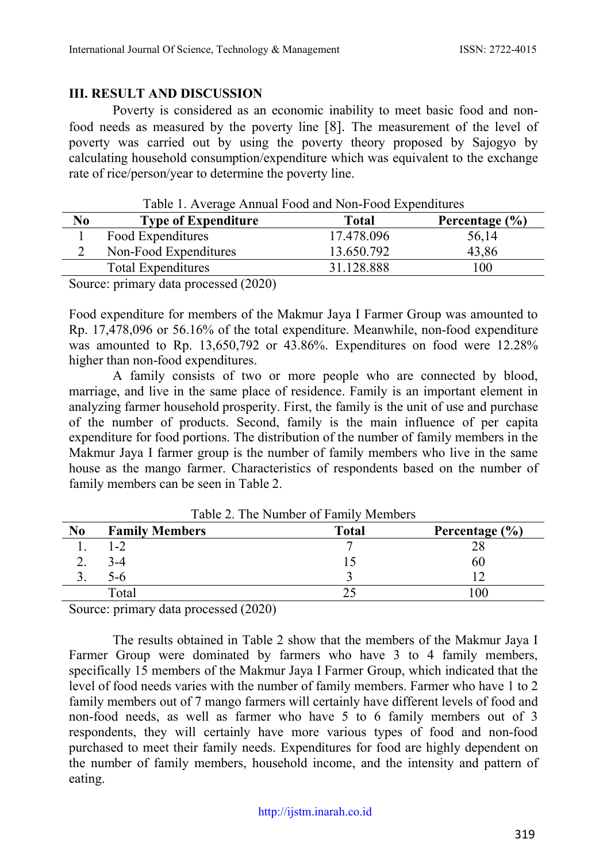#### **III. RESULT AND DISCUSSION**

Poverty is considered as an economic inability to meet basic food and nonfood needs as measured by the poverty line [8]. The measurement of the level of poverty was carried out by using the poverty theory proposed by Sajogyo by calculating household consumption/expenditure which was equivalent to the exchange rate of rice/person/year to determine the poverty line.

|    | Table 1. Average Allingar I bod and I voll-I bod Experimentes |            |                    |
|----|---------------------------------------------------------------|------------|--------------------|
| No | <b>Type of Expenditure</b>                                    | Total      | Percentage $(\% )$ |
|    | Food Expenditures                                             | 17.478.096 | 56,14              |
|    | Non-Food Expenditures                                         | 13.650.792 | 43,86              |
|    | Total Expenditures                                            | 31.128.888 | 100                |
|    | $Soumon$ primary data programs (2020)                         |            |                    |

Table 1. Average Annual Food and Non-Food Expenditures

Source: primary data processed (2020)

Food expenditure for members of the Makmur Jaya I Farmer Group was amounted to Rp. 17,478,096 or 56.16% of the total expenditure. Meanwhile, non-food expenditure was amounted to Rp. 13,650,792 or 43.86%. Expenditures on food were 12.28% higher than non-food expenditures.

A family consists of two or more people who are connected by blood, marriage, and live in the same place of residence. Family is an important element in analyzing farmer household prosperity. First, the family is the unit of use and purchase of the number of products. Second, family is the main influence of per capita expenditure for food portions. The distribution of the number of family members in the Makmur Jaya I farmer group is the number of family members who live in the same house as the mango farmer. Characteristics of respondents based on the number of family members can be seen in Table 2.

| No | <b>Family Members</b> | <b>Total</b> | Percentage (%) |
|----|-----------------------|--------------|----------------|
|    | $-2$                  |              | ∠€             |
|    | 3-4                   |              | 60             |
| J. | D-0                   |              |                |
|    | Total                 |              | $_{00}$        |

Table 2. The Number of Family Members

Source: primary data processed (2020)

The results obtained in Table 2 show that the members of the Makmur Jaya I Farmer Group were dominated by farmers who have 3 to 4 family members, specifically 15 members of the Makmur Jaya I Farmer Group, which indicated that the level of food needs varies with the number of family members. Farmer who have 1 to 2 family members out of 7 mango farmers will certainly have different levels of food and non-food needs, as well as farmer who have 5 to 6 family members out of 3 respondents, they will certainly have more various types of food and non-food purchased to meet their family needs. Expenditures for food are highly dependent on the number of family members, household income, and the intensity and pattern of eating.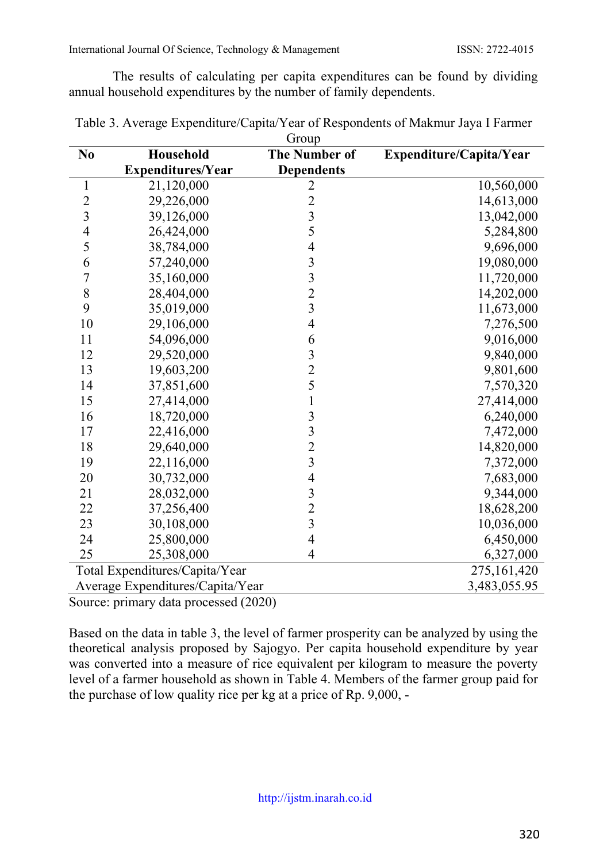The results of calculating per capita expenditures can be found by dividing annual household expenditures by the number of family dependents.

| N <sub>0</sub>           | Household                        | <b>OTOUP</b><br><b>The Number of</b>            | Expenditure/Capita/Year |  |  |
|--------------------------|----------------------------------|-------------------------------------------------|-------------------------|--|--|
|                          | <b>Expenditures/Year</b>         | <b>Dependents</b>                               |                         |  |  |
| $\mathbf{1}$             | 21,120,000                       | $\overline{c}$                                  | 10,560,000              |  |  |
| $\overline{c}$           | 29,226,000                       | $\overline{c}$                                  | 14,613,000              |  |  |
| 3                        | 39,126,000                       | $\overline{\mathbf{3}}$                         | 13,042,000              |  |  |
| $\overline{\mathcal{L}}$ | 26,424,000                       | 5                                               | 5,284,800               |  |  |
| 5                        | 38,784,000                       | $\overline{\mathcal{A}}$                        | 9,696,000               |  |  |
| 6                        | 57,240,000                       | $\frac{3}{3}$                                   | 19,080,000              |  |  |
| $\overline{7}$           | 35,160,000                       |                                                 | 11,720,000              |  |  |
| 8                        | 28,404,000                       | $\frac{2}{3}$                                   | 14,202,000              |  |  |
| 9                        | 35,019,000                       |                                                 | 11,673,000              |  |  |
| 10                       | 29,106,000                       | $\overline{\mathcal{L}}$                        | 7,276,500               |  |  |
| 11                       | 54,096,000                       | 6                                               | 9,016,000               |  |  |
| 12                       | 29,520,000                       | $\frac{3}{2}$                                   | 9,840,000               |  |  |
| 13                       | 19,603,200                       |                                                 | 9,801,600               |  |  |
| 14                       | 37,851,600                       | 5                                               | 7,570,320               |  |  |
| 15                       | 27,414,000                       | $\mathbf{1}$                                    | 27,414,000              |  |  |
| 16                       | 18,720,000                       |                                                 | 6,240,000               |  |  |
| 17                       | 22,416,000                       | $\begin{array}{c} 3 \\ 3 \\ 2 \\ 3 \end{array}$ | 7,472,000               |  |  |
| 18                       | 29,640,000                       |                                                 | 14,820,000              |  |  |
| 19                       | 22,116,000                       |                                                 | 7,372,000               |  |  |
| 20                       | 30,732,000                       | $\overline{\mathcal{L}}$                        | 7,683,000               |  |  |
| 21                       | 28,032,000                       | $\overline{\mathbf{3}}$                         | 9,344,000               |  |  |
| 22                       | 37,256,400                       | $\frac{2}{3}$                                   | 18,628,200              |  |  |
| 23                       | 30,108,000                       |                                                 | 10,036,000              |  |  |
| 24                       | 25,800,000                       | $\overline{4}$                                  | 6,450,000               |  |  |
| 25                       | 25,308,000                       | $\overline{4}$                                  | 6,327,000               |  |  |
|                          | Total Expenditures/Capita/Year   |                                                 | 275,161,420             |  |  |
|                          | Average Expenditures/Capita/Year |                                                 | 3,483,055.95            |  |  |
|                          | $1 - 4$<br>1(2020)               |                                                 |                         |  |  |

Table 3. Average Expenditure/Capita/Year of Respondents of Makmur Jaya I Farmer Group

Source: primary data processed (2020)

Based on the data in table 3, the level of farmer prosperity can be analyzed by using the theoretical analysis proposed by Sajogyo. Per capita household expenditure by year was converted into a measure of rice equivalent per kilogram to measure the poverty level of a farmer household as shown in Table 4. Members of the farmer group paid for the purchase of low quality rice per kg at a price of Rp. 9,000, -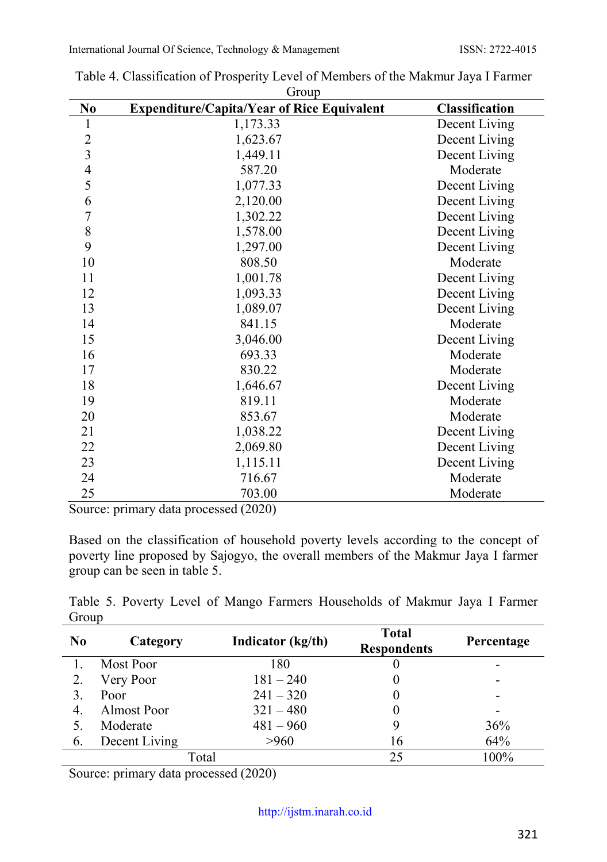| N <sub>0</sub> | OIVUP<br><b>Expenditure/Capita/Year of Rice Equivalent</b> | Classification |
|----------------|------------------------------------------------------------|----------------|
| 1              | 1,173.33                                                   | Decent Living  |
| $\overline{c}$ | 1,623.67                                                   | Decent Living  |
| 3              | 1,449.11                                                   | Decent Living  |
| $\overline{4}$ | 587.20                                                     | Moderate       |
| 5              | 1,077.33                                                   | Decent Living  |
| 6              | 2,120.00                                                   | Decent Living  |
| 7              | 1,302.22                                                   | Decent Living  |
| 8              | 1,578.00                                                   | Decent Living  |
| 9              | 1,297.00                                                   | Decent Living  |
| 10             | 808.50                                                     | Moderate       |
| 11             | 1,001.78                                                   | Decent Living  |
| 12             | 1,093.33                                                   | Decent Living  |
| 13             | 1,089.07                                                   | Decent Living  |
| 14             | 841.15                                                     | Moderate       |
| 15             | 3,046.00                                                   | Decent Living  |
| 16             | 693.33                                                     | Moderate       |
| 17             | 830.22                                                     | Moderate       |
| 18             | 1,646.67                                                   | Decent Living  |
| 19             | 819.11                                                     | Moderate       |
| 20             | 853.67                                                     | Moderate       |
| 21             | 1,038.22                                                   | Decent Living  |
| 22             | 2,069.80                                                   | Decent Living  |
| 23             | 1,115.11                                                   | Decent Living  |
| 24             | 716.67                                                     | Moderate       |
| 25             | 703.00                                                     | Moderate       |

Table 4. Classification of Prosperity Level of Members of the Makmur Jaya I Farmer Group

Source: primary data processed (2020)

Based on the classification of household poverty levels according to the concept of poverty line proposed by Sajogyo, the overall members of the Makmur Jaya I farmer group can be seen in table 5.

Table 5. Poverty Level of Mango Farmers Households of Makmur Jaya I Farmer Group

| N <sub>0</sub> | Category      | Indicator (kg/th) | <b>Total</b><br><b>Respondents</b> | Percentage |
|----------------|---------------|-------------------|------------------------------------|------------|
|                | Most Poor     | 180               |                                    |            |
|                | Very Poor     | $181 - 240$       |                                    | -          |
|                | Poor          | $241 - 320$       |                                    | -          |
|                | Almost Poor   | $321 - 480$       |                                    | -          |
|                | Moderate      | $481 - 960$       |                                    | 36%        |
| 6.             | Decent Living | >960              | 16                                 | 64%        |
|                |               | Total             | 25                                 | 100%       |

Source: primary data processed (2020)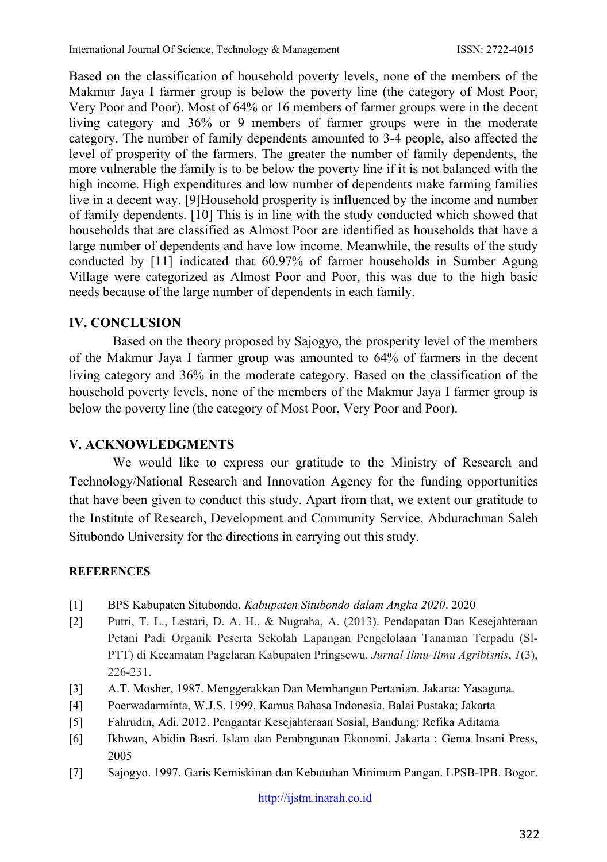Based on the classification of household poverty levels, none of the members of the Makmur Jaya I farmer group is below the poverty line (the category of Most Poor, Very Poor and Poor). Most of 64% or 16 members of farmer groups were in the decent living category and 36% or 9 members of farmer groups were in the moderate category. The number of family dependents amounted to 3-4 people, also affected the level of prosperity of the farmers. The greater the number of family dependents, the more vulnerable the family is to be below the poverty line if it is not balanced with the high income. High expenditures and low number of dependents make farming families live in a decent way. [9]Household prosperity is influenced by the income and number of family dependents. [10] This is in line with the study conducted which showed that households that are classified as Almost Poor are identified as households that have a large number of dependents and have low income. Meanwhile, the results of the study conducted by [11] indicated that 60.97% of farmer households in Sumber Agung Village were categorized as Almost Poor and Poor, this was due to the high basic needs because of the large number of dependents in each family.

## **IV. CONCLUSION**

Based on the theory proposed by Sajogyo, the prosperity level of the members of the Makmur Jaya I farmer group was amounted to 64% of farmers in the decent living category and 36% in the moderate category. Based on the classification of the household poverty levels, none of the members of the Makmur Jaya I farmer group is below the poverty line (the category of Most Poor, Very Poor and Poor).

### **V. ACKNOWLEDGMENTS**

We would like to express our gratitude to the Ministry of Research and Technology/National Research and Innovation Agency for the funding opportunities that have been given to conduct this study. Apart from that, we extent our gratitude to the Institute of Research, Development and Community Service, Abdurachman Saleh Situbondo University for the directions in carrying out this study.

### **REFERENCES**

- [1] BPS Kabupaten Situbondo, *Kabupaten Situbondo dalam Angka 2020*. 2020
- [2] Putri, T. L., Lestari, D. A. H., & Nugraha, A. (2013). Pendapatan Dan Kesejahteraan Petani Padi Organik Peserta Sekolah Lapangan Pengelolaan Tanaman Terpadu (Sl-PTT) di Kecamatan Pagelaran Kabupaten Pringsewu. *Jurnal Ilmu-Ilmu Agribisnis*, *1*(3), 226-231.
- [3] A.T. Mosher, 1987. Menggerakkan Dan Membangun Pertanian. Jakarta: Yasaguna.
- [4] Poerwadarminta, W.J.S. 1999. Kamus Bahasa Indonesia. Balai Pustaka; Jakarta
- [5] Fahrudin, Adi. 2012. Pengantar Kesejahteraan Sosial, Bandung: Refika Aditama
- [6] Ikhwan, Abidin Basri. Islam dan Pembngunan Ekonomi. Jakarta : Gema Insani Press, 2005
- [7] Sajogyo. 1997. Garis Kemiskinan dan Kebutuhan Minimum Pangan. LPSB-IPB. Bogor.

[http://ijstm.inarah.co.id](http://ijstm.inarah.co.id/index.php/ijstm/about/submissions)